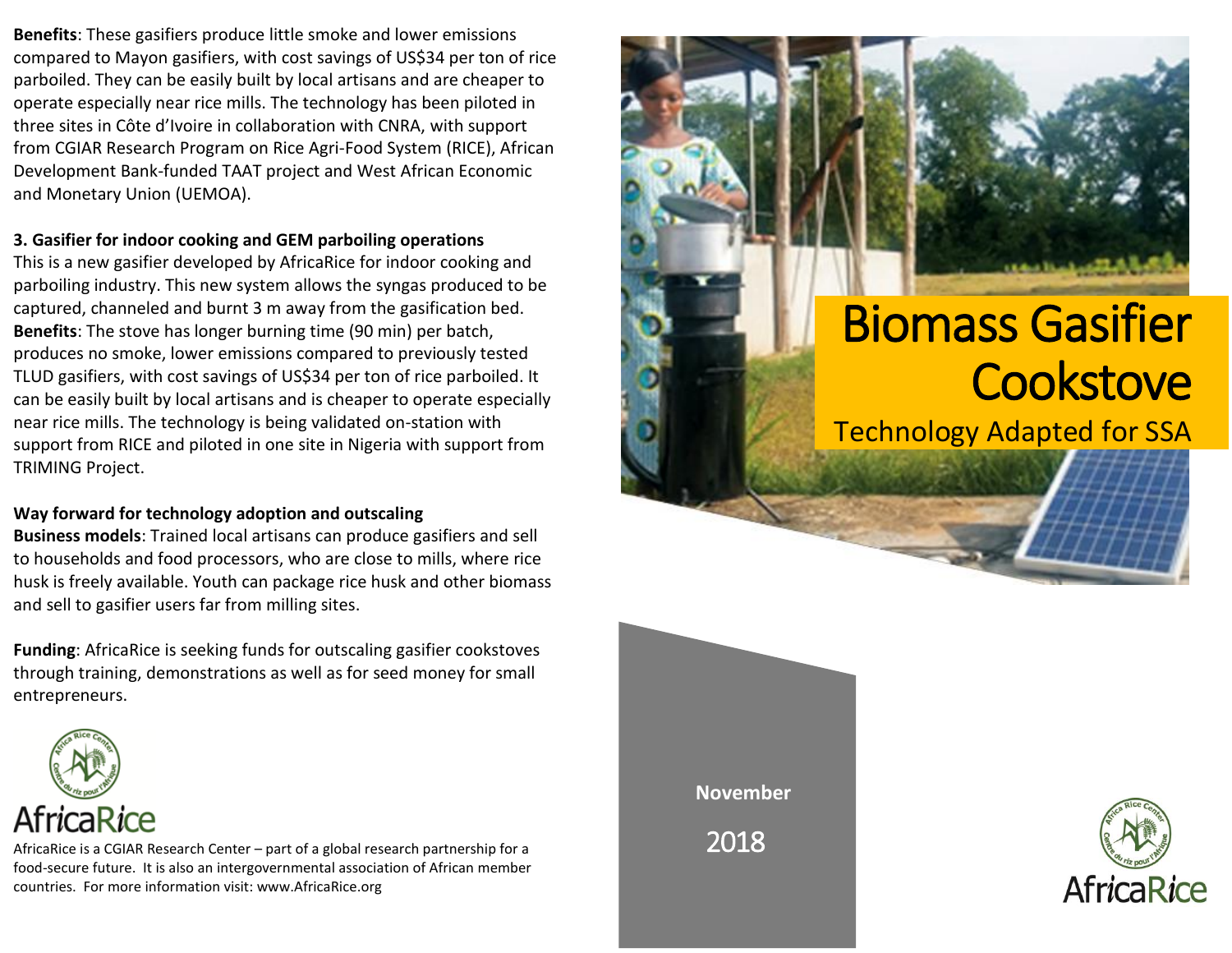**Benefits**: These gasifiers produce little smoke and lower emissions compared to Mayon gasifiers, with cost savings of US\$34 per ton of rice parboiled. They can be easily built by local artisans and are cheaper to operate especially near rice mills. The technology has been piloted in three sites in Côte d'Ivoire in collaboration with CNRA, with support from CGIAR Research Program on Rice Agri-Food System (RICE), African Development Bank-funded TAAT project and West African Economic and Monetary Union (UEMOA).

#### **3. Gasifier for indoor cooking and GEM parboiling operations**

This is a new gasifier developed by AfricaRice for indoor cooking and parboiling industry. This new system allows the syngas produced to be captured, channeled and burnt 3 m away from the gasification bed. **Benefits**: The stove has longer burning time (90 min) per batch, produces no smoke, lower emissions compared to previously tested TLUD gasifiers, with cost savings of US\$34 per ton of rice parboiled. It can be easily built by local artisans and is cheaper to operate especially near rice mills. The technology is being validated on-station with support from RICE and piloted in one site in Nigeria with support from TRIMING Project.

### **Way forward for technology adoption and outscaling**

**Business models**: Trained local artisans can produce gasifiers and sell to households and food processors, who are close to mills, where rice husk is freely available. Youth can package rice husk and other biomass and sell to gasifier users far from milling sites.

**Funding**: AfricaRice is seeking funds for outscaling gasifier cookstoves through training, demonstrations as well as for seed money for small entrepreneurs.



AfricaRice is a CGIAR Research Center – part of a global research partnership for a food-secure future. It is also an intergovernmental association of African member countries. For more information visit: www.AfricaRice.org

# Biomass Gasifier **Cookstove**

Technology Adapted for SSA

**November**

2018